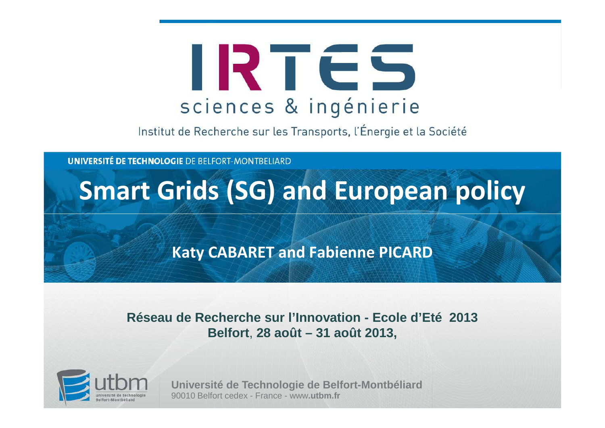

Institut de Recherche sur les Transports, l'Énergie et la Société

**UNIVERSITÉ DE TECHNOLOGIE DE BELFORT-MONTBELIARD** 

# **Smart Grids (SG) and European policy**

#### **Katy CABARET and Fabienne PICARD**

#### **Réseau de Recherche sur l'Innovation - Ecole d'Eté 2013Belfort**, **28 août – 31 août 2013,**



**Université de Technologie de Belfort-Montbéliard**90010 Belfort cedex - France - www**.utbm.fr**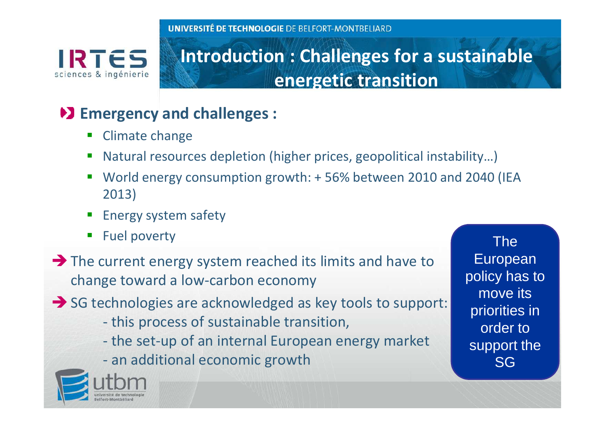IRTES sciences & ingénierie

### **Introduction : Challenges for a sustainable energetic transition**

### **Emergency and challenges :**

- $\blacksquare$ Climate change
- Natural resources depletion (higher prices, geopolitical instability...)
- **Contract Contract Contract Contract Contract Contract Contract Contract Contract Contract Contract Contract Co**  World energy consumption growth: + 56% between 2010 and 2040 (IEA 2013)
- Energy system safety
- $\mathcal{L}_{\mathcal{A}}$ Fuel poverty The
- → The current energy system reached its limits and have to change toward a low-carbon economy
- → SG technologies are acknowledged as key tools to support:
	- this process of sustainable transition,
	- the set-up of an internal European energy market
	- an additional economic growth



European policy has to move its priorities in order to support the SG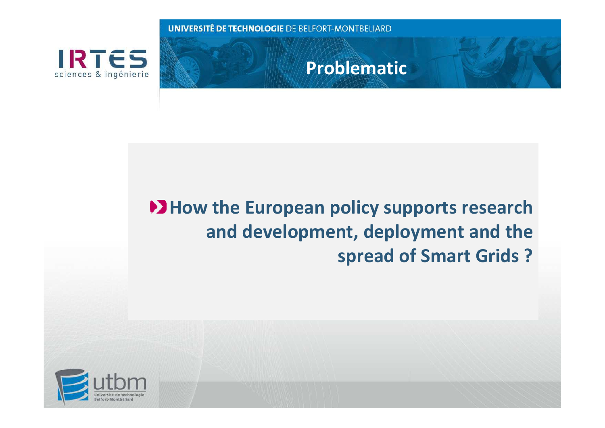

**Problematic**

## **EXA:** How the European policy supports research **and development, deployment and the spread of Smart Grids ?**

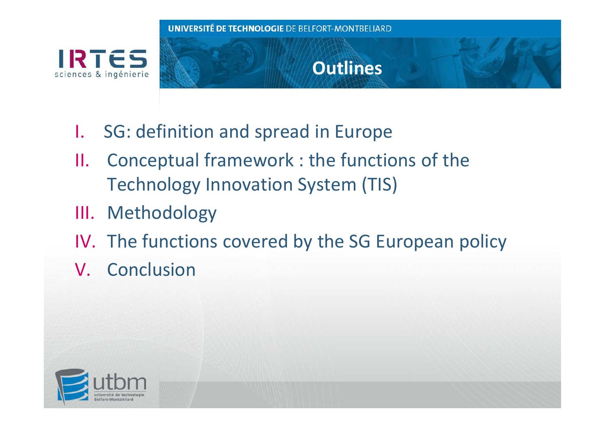

# **Outlines**

- I.SG: definition and spread in Europe
- II. Conceptual framework : the functions of the Technology Innovation System (TIS)
- III. Methodology
- IV. The functions covered by the SG European policy
- V. Conclusion

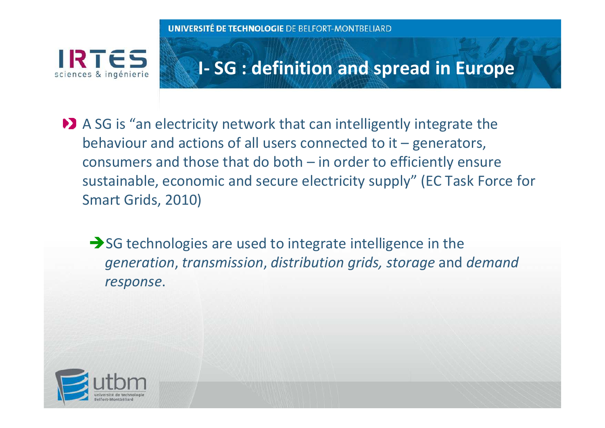IRTES sciences & ingénierie

### **I- SG : definition and spread in Europe**

- A SG is "an electricity network that can intelligently integrate the behaviour and actions of all users connected to it – generators, consumers and those that do both – in order to efficiently ensure sustainable, economic and secure electricity supply" (EC Task Force for Smart Grids, 2010)
	- → SG technologies are used to integrate intelligence in the *generation*, *transmission*, *distribution grids, storage* and *demand response*.

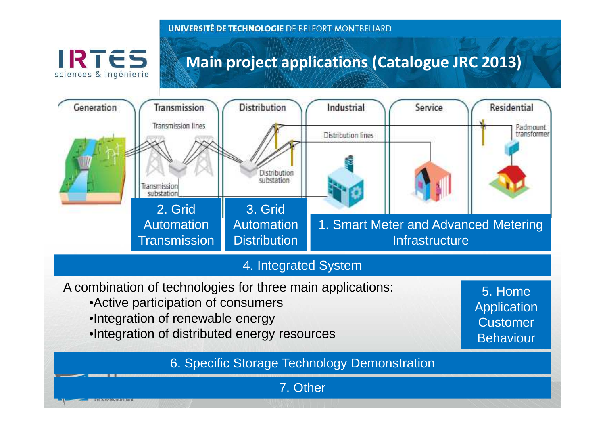

### **Main project applications (Catalogue JRC 2013)**



#### 4. Integrated System

- A combination of technologies for three main applications:
	- •Active participation of consumers
	- •Integration of renewable energy
	- •Integration of distributed energy resources

5. Home **Application Customer** Behaviour

6

6. Specific Storage Technology Demonstration

7. Other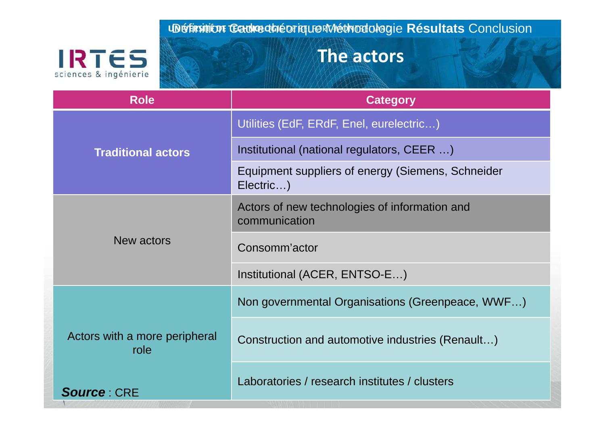Définition Cadre théorique Méthodologie **Résultats** Conclusion

# **IRTES**

### **The actors**

| <b>Role</b>                                                 | <b>Category</b>                                                |  |  |
|-------------------------------------------------------------|----------------------------------------------------------------|--|--|
| <b>Traditional actors</b>                                   | Utilities (EdF, ERdF, Enel, eurelectric)                       |  |  |
|                                                             | Institutional (national regulators, CEER )                     |  |  |
|                                                             | Equipment suppliers of energy (Siemens, Schneider<br>Electric) |  |  |
| New actors                                                  | Actors of new technologies of information and<br>communication |  |  |
|                                                             | Consomm'actor                                                  |  |  |
|                                                             | Institutional (ACER, ENTSO-E)                                  |  |  |
| Actors with a more peripheral<br>role<br><b>Source: CRE</b> | Non governmental Organisations (Greenpeace, WWF)               |  |  |
|                                                             | Construction and automotive industries (Renault)               |  |  |
|                                                             | Laboratories / research institutes / clusters                  |  |  |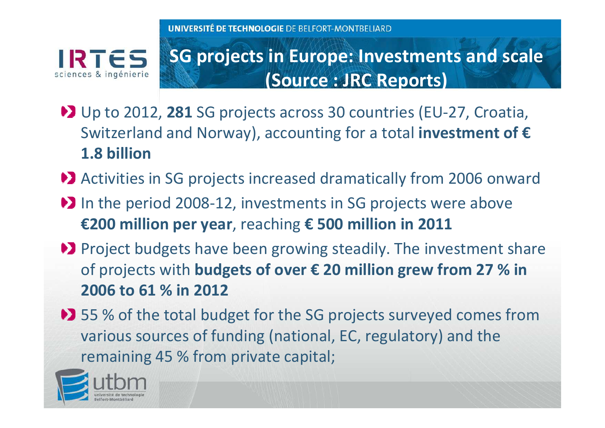IRTES sciences & ingénierie

## **SG projects in Europe: Investments and scale (Source : JRC Reports)**

- Up to 2012, **281** SG projects across 30 countries (EU-27, Croatia, Switzerland and Norway), accounting for a total **investment of €1.8 billion**
- ◆■ Activities in SG projects increased dramatically from 2006 onward
- In the period 2008-12, investments in SG projects were above **€200 million per year**, reaching **€ 500 million in 2011**
- **D** Project budgets have been growing steadily. The investment share of projects with **budgets of over € 20 million grew from 27 % in 2006 to 61 % in 2012**
- ◆■ 55 % of the total budget for the SG projects surveyed comes from various sources of funding (national, EC, regulatory) and the remaining 45 % from private capital;

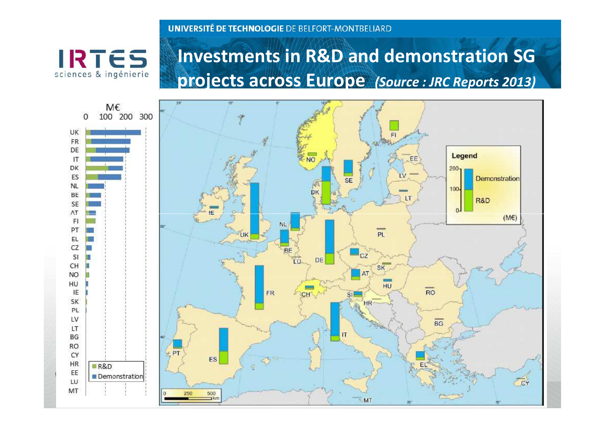**IRTES** sciences & ingénierie

### **Investments in R&D and demonstration SG projects across Europe** *(Source : JRC Reports 2013)*

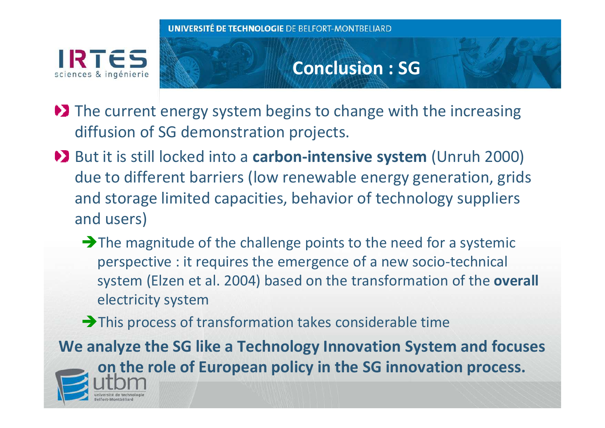

### **Conclusion : SG**

- **EX** The current energy system begins to change with the increasing diffusion of SG demonstration projects.
- **But it is still locked into a carbon-intensive system (Unruh 2000)** due to different barriers (low renewable energy generation, grids and storage limited capacities, behavior of technology suppliers and users)
	- $\rightarrow$  The magnitude of the challenge points to the need for a systemic perspective : it requires the emergence of a new socio-technical system (Elzen et al. 2004) based on the transformation of the **overall**electricity system
	- -This process of transformation takes considerable time

**We analyze the SG like a Technology Innovation System and focuses on the role of European policy in the SG innovation process.**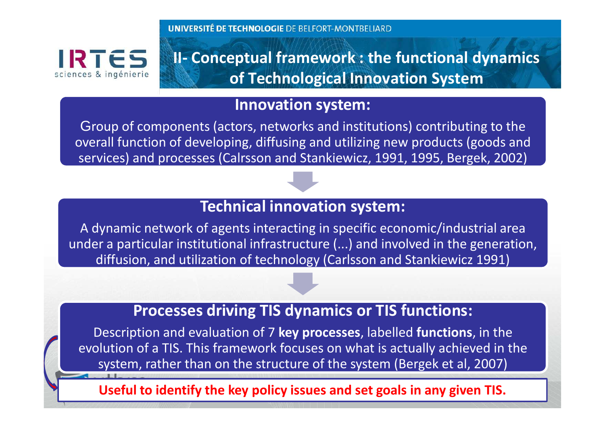IRTÉS sciences & ingénierie **II- Conceptual framework : the functional dynamics of Technological Innovation System** 

#### **Innovation system:**

Group of components (actors, networks and institutions) contributing to the overall function of developing, diffusing and utilizing new products (goods and services) and processes (Calrsson and Stankiewicz, 1991, 1995, Bergek, 2002)

#### **Technical innovation system:**

A dynamic network of agents interacting in specific economic/industrial area under a particular institutional infrastructure (...) and involved in the generation, diffusion, and utilization of technology (Carlsson and Stankiewicz 1991)

#### **Processes driving TIS dynamics or TIS functions:**

Description and evaluation of 7 **key processes**, labelled **functions**, in the evolution of a TIS. This framework focuses on what is actually achieved in the system, rather than on the structure of the system (Bergek et al, 2007)

**Useful to identify the key policy issues and set goals in any given TIS.**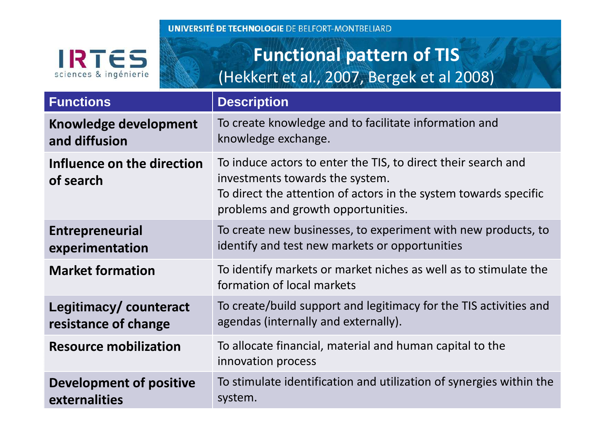

# **Functional pattern of TIS** (Hekkert et al., 2007, Bergek et al 2008)

| <b>Functions</b>                              | <b>Description</b>                                                                                                                                                                                         |  |
|-----------------------------------------------|------------------------------------------------------------------------------------------------------------------------------------------------------------------------------------------------------------|--|
| Knowledge development<br>and diffusion        | To create knowledge and to facilitate information and<br>knowledge exchange.                                                                                                                               |  |
| Influence on the direction<br>of search       | To induce actors to enter the TIS, to direct their search and<br>investments towards the system.<br>To direct the attention of actors in the system towards specific<br>problems and growth opportunities. |  |
| <b>Entrepreneurial</b><br>experimentation     | To create new businesses, to experiment with new products, to<br>identify and test new markets or opportunities                                                                                            |  |
| <b>Market formation</b>                       | To identify markets or market niches as well as to stimulate the<br>formation of local markets                                                                                                             |  |
| Legitimacy/counteract<br>resistance of change | To create/build support and legitimacy for the TIS activities and<br>agendas (internally and externally).                                                                                                  |  |
| <b>Resource mobilization</b>                  | To allocate financial, material and human capital to the<br>innovation process                                                                                                                             |  |
| Development of positive<br>externalities      | To stimulate identification and utilization of synergies within the<br>system.                                                                                                                             |  |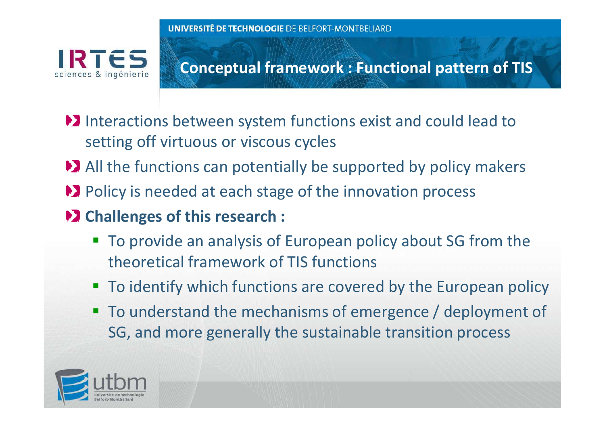IRTES sciences & ingénierie

**Conceptual framework : Functional pattern of TIS** 

- Interactions between system functions exist and could lead to setting off virtuous or viscous cycles
- All the functions can potentially be supported by policy makers
- **D** Policy is needed at each stage of the innovation process
- **EX Challenges of this research :** 
	- To provide an analysis of European policy about SG from the theoretical framework of TIS functions
	- To identify which functions are covered by the European policy
	- $\blacksquare$  To understand the mechanisms of emergence / deployment of SG, and more generally the sustainable transition process

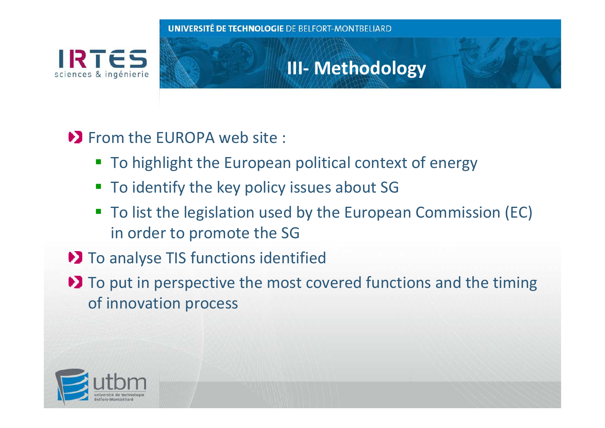

### **III- Methodology**

### **EXECUTE:** From the EUROPA web site:

- To highlight the European political context of energy
- To identify the key policy issues about SG
- To list the legislation used by the European Commission (EC) in order to promote the SG
- **D** To analyse TIS functions identified
- $\blacktriangleright$  To put in perspective the most covered functions and the timing of innovation process

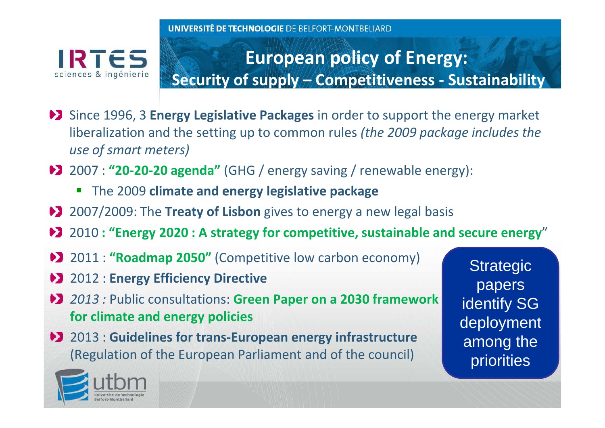

## **European policy of Energy: Security of supply – Competitiveness - Sustainability**

- Since 1996, 3 **Energy Legislative Packages** in order to support the energy market liberalization and the setting up to common rules *(the 2009 package includes the use of smart meters)*
- 2007 : **"20-20-20 agenda"** (GHG / energy saving / renewable energy):
	- The 2009 **climate and energy legislative package**
- ◆**2** 2007/2009: The **Treaty of Lisbon** gives to energy a new legal basis
- 2010 **: "Energy 2020 : A strategy for competitive, sustainable and secure energy**"
- 2011 : **"Roadmap 2050"** (Competitive low carbon economy)
- 2012 : **Energy Efficiency Directive**
- *2013 :* Public consultations: **Green Paper on a 2030 framework for climate and energy policies**
- 2013 : **Guidelines for trans-European energy infrastructure**  (Regulation of the European Parliament and of the council)

**Strategic** papers identify SG deployment among the priorities

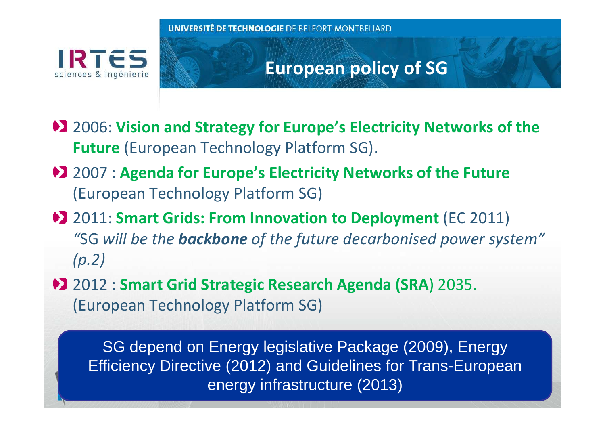

### **European policy of SG**

- **2006: Vision and Strategy for Europe's Electricity Networks of the Future** (European Technology Platform SG).
- 2007 : **Agenda for Europe's Electricity Networks of the Future** (European Technology Platform SG)
- 2011: **Smart Grids: From Innovation to Deployment** (EC 2011) *"*SG *will be the backbone of the future decarbonised power system" (p.2)*
- 2012 : **Smart Grid Strategic Research Agenda (SRA**) 2035.(European Technology Platform SG)

SG depend on Energy legislative Package (2009), Energy Efficiency Directive (2012) and Guidelines for Trans-European energy infrastructure (2013)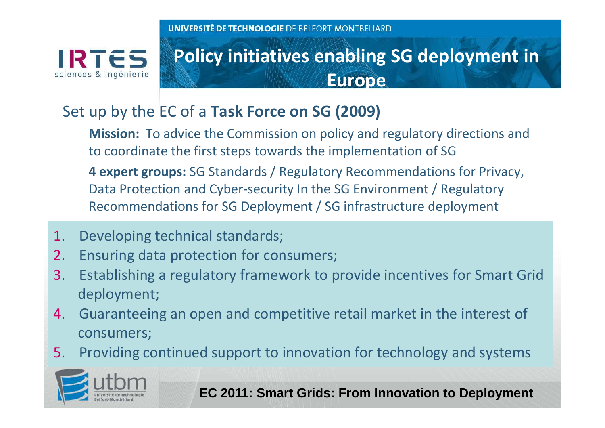sciences & ingénierie

### **Policy initiatives enabling SG deployment in Europe**

### Set up by the EC of a **Task Force on SG (2009)**

**Mission:** To advice the Commission on policy and regulatory directions and to coordinate the first steps towards the implementation of SG

 **4 expert groups:** SG Standards / Regulatory Recommendations for Privacy, Data Protection and Cyber-security In the SG Environment / Regulatory Recommendations for SG Deployment / SG infrastructure deployment

- 1.Developing technical standards;
- 2.Ensuring data protection for consumers;
- 3. Establishing a regulatory framework to provide incentives for Smart Grid deployment;
- 4. Guaranteeing an open and competitive retail market in the interest of consumers;
- 5.Providing continued support to innovation for technology and systems



17**EC 2011: Smart Grids: From Innovation to Deployment**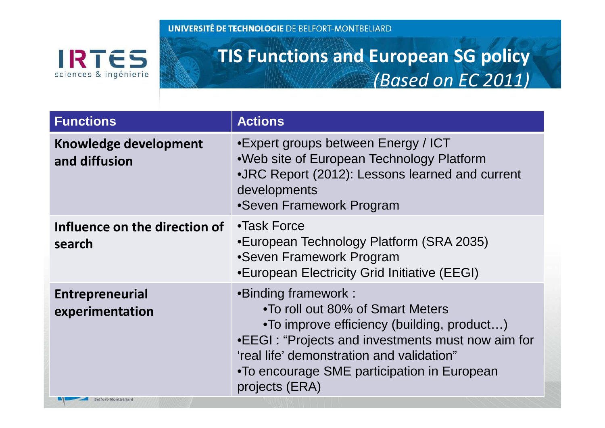**IRTES** sciences & ingénierie

### **TIS Functions and European SG policy** *(Based on EC 2011)*

| <b>Functions</b>                                                 | <b>Actions</b>                                                                                                                                                                                                                                                           |  |
|------------------------------------------------------------------|--------------------------------------------------------------------------------------------------------------------------------------------------------------------------------------------------------------------------------------------------------------------------|--|
| Knowledge development<br>and diffusion                           | •Expert groups between Energy / ICT<br>• Web site of European Technology Platform<br>•JRC Report (2012): Lessons learned and current<br>developments<br>•Seven Framework Program                                                                                         |  |
| Influence on the direction of<br>search                          | •Task Force<br>•European Technology Platform (SRA 2035)<br>•Seven Framework Program<br>•European Electricity Grid Initiative (EEGI)                                                                                                                                      |  |
| <b>Entrepreneurial</b><br>experimentation<br>Belfort-Montbéliard | •Binding framework:<br>•To roll out 80% of Smart Meters<br>•To improve efficiency (building, product)<br>•EEGI: "Projects and investments must now aim for<br>'real life' demonstration and validation"<br>•To encourage SME participation in European<br>projects (ERA) |  |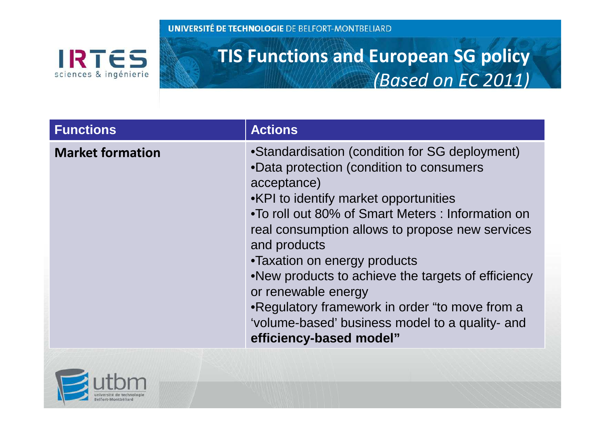**IRTES** sciences & ingénierie

### **TIS Functions and European SG policy***(Based on EC 2011)*

| <b>Functions</b>        | <b>Actions</b>                                                                                                                                                                                                                                                                                                                                                                                                                                                                                                          |
|-------------------------|-------------------------------------------------------------------------------------------------------------------------------------------------------------------------------------------------------------------------------------------------------------------------------------------------------------------------------------------------------------------------------------------------------------------------------------------------------------------------------------------------------------------------|
| <b>Market formation</b> | •Standardisation (condition for SG deployment)<br>•Data protection (condition to consumers<br>acceptance)<br>•KPI to identify market opportunities<br>. To roll out 80% of Smart Meters: Information on<br>real consumption allows to propose new services<br>and products<br>•Taxation on energy products<br>•New products to achieve the targets of efficiency<br>or renewable energy<br>•Regulatory framework in order "to move from a<br>'volume-based' business model to a quality- and<br>efficiency-based model" |
|                         |                                                                                                                                                                                                                                                                                                                                                                                                                                                                                                                         |

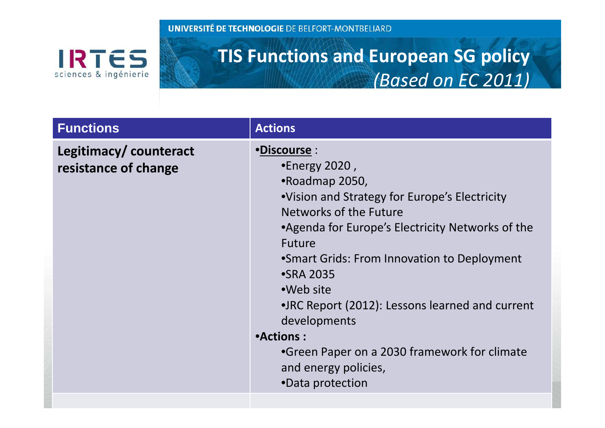**IRTES** sciences & ingénierie

### **TIS Functions and European SG policy***(Based on EC 2011)*

| <b>Functions</b>                              | <b>Actions</b>                                                                                                                                                                                                                                                                                                                                                                                                                                                   |  |  |
|-----------------------------------------------|------------------------------------------------------------------------------------------------------------------------------------------------------------------------------------------------------------------------------------------------------------------------------------------------------------------------------------------------------------------------------------------------------------------------------------------------------------------|--|--|
| Legitimacy/counteract<br>resistance of change | •Discourse :<br>$\bullet$ Energy 2020,<br>•Roadmap 2050,<br>•Vision and Strategy for Europe's Electricity<br>Networks of the Future<br>• Agenda for Europe's Electricity Networks of the<br><b>Future</b><br>• Smart Grids: From Innovation to Deployment<br>•SRA 2035<br>•Web site<br>• JRC Report (2012): Lessons learned and current<br>developments<br>•Actions:<br>•Green Paper on a 2030 framework for climate<br>and energy policies,<br>•Data protection |  |  |
|                                               |                                                                                                                                                                                                                                                                                                                                                                                                                                                                  |  |  |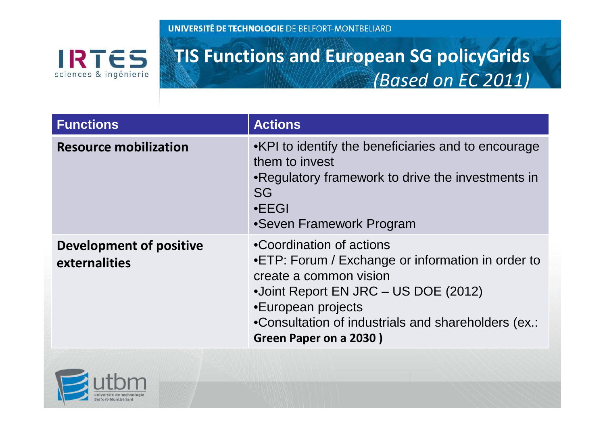**IRTES** sciences & ingénierie

### **TIS Functions and European SG policyGrids***(Based on EC 2011)*

| <b>Functions</b>                                | <b>Actions</b>                                                                                                                                                                                                                                         |  |  |
|-------------------------------------------------|--------------------------------------------------------------------------------------------------------------------------------------------------------------------------------------------------------------------------------------------------------|--|--|
| <b>Resource mobilization</b>                    | •KPI to identify the beneficiaries and to encourage<br>them to invest<br>•Regulatory framework to drive the investments in<br><b>SG</b><br>$\cdot$ EEGI<br>•Seven Framework Program                                                                    |  |  |
| <b>Development of positive</b><br>externalities | •Coordination of actions<br>•ETP: Forum / Exchange or information in order to<br>create a common vision<br>•Joint Report EN JRC – US DOE (2012)<br>•European projects<br>•Consultation of industrials and shareholders (ex.:<br>Green Paper on a 2030) |  |  |

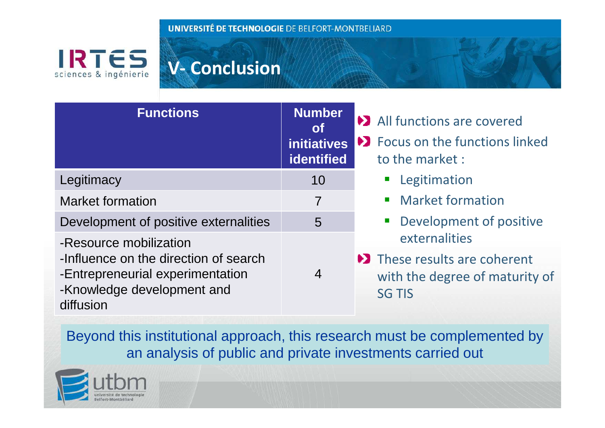**IRTES** sciences & ingénierie

### **V- Conclusion**

| <b>Functions</b>                                                                                                     | <b>Number</b><br><b>ot</b><br><b>initiatives</b><br><b>identified</b> | • All functions are covered<br>Du Focus on the functions linked<br>to the market:                   |
|----------------------------------------------------------------------------------------------------------------------|-----------------------------------------------------------------------|-----------------------------------------------------------------------------------------------------|
| Legitimacy                                                                                                           | 10                                                                    | <b>E</b> Legitimation                                                                               |
| <b>Market formation</b>                                                                                              | $\overline{7}$                                                        | • Market formation                                                                                  |
| Development of positive externalities                                                                                | 5                                                                     | • Development of positive                                                                           |
| -Resource mobilization                                                                                               |                                                                       | externalities                                                                                       |
| -Influence on the direction of search<br>-Entrepreneurial experimentation<br>-Knowledge development and<br>diffusion | $\overline{4}$                                                        | $\blacktriangleright$ These results are coherent<br>with the degree of maturity of<br><b>SG TIS</b> |

Beyond this institutional approach, this research must be complemented by an analysis of public and private investments carried out